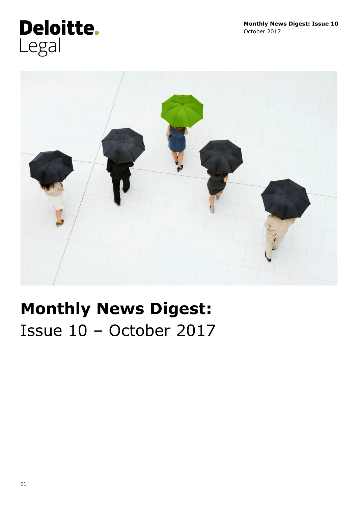# Deloitte. Legal



# **Monthly News Digest:**  Issue 10 – October 2017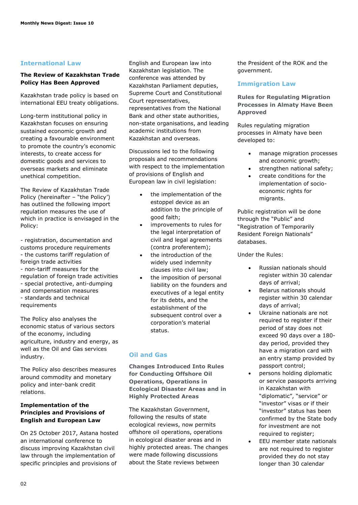## **International Law**

## **The Review of Kazakhstan Trade Policy Has Been Approved**

Kazakhstan trade policy is based on international EEU treaty obligations.

Long-term institutional policy in Kazakhstan focuses on ensuring sustained economic growth and creating a favourable environment to promote the country's economic interests, to create access for domestic goods and services to overseas markets and eliminate unethical competition.

The Review of Kazakhstan Trade Policy (hereinafter – "the Policy') has outlined the following import regulation measures the use of which in practice is envisaged in the Policy:

- registration, documentation and customs procedure requirements - the customs tariff regulation of foreign trade activities - non-tariff measures for the regulation of foreign trade activities - special protective, anti-dumping and compensation measures - standards and technical requirements

The Policy also analyses the economic status of various sectors of the economy, including agriculture, industry and energy, as well as the Oil and Gas services industry.

The Policy also describes measures around commodity and monetary policy and inter-bank credit relations.

## **Implementation of the Principles and Provisions of English and European Law**

On 25 October 2017, Astana hosted an international conference to discuss improving Kazakhstan civil law through the implementation of specific principles and provisions of

English and European law into Kazakhstan legislation. The conference was attended by Kazakhstan Parliament deputies, Supreme Court and Constitutional Court representatives, representatives from the National Bank and other state authorities, non-state organisations, and leading academic institutions from Kazakhstan and overseas.

Discussions led to the following proposals and recommendations with respect to the implementation of provisions of English and European law in civil legislation:

- the implementation of the estoppel device as an addition to the principle of good faith;
- improvements to rules for the legal interpretation of civil and legal agreements (contra proferentem);
- the introduction of the widely used indemnity clauses into civil law;
- the imposition of personal liability on the founders and executives of a legal entity for its debts, and the establishment of the subsequent control over a corporation's material status.

## **Oil and Gas**

**Changes Introduced Into Rules for Conducting Offshore Oil Operations, Operations in Ecological Disaster Areas and in Highly Protected Areas**

The Kazakhstan Government, following the results of state ecological reviews, now permits offshore oil operations, operations in ecological disaster areas and in highly protected areas. The changes were made following discussions about the State reviews between

the President of the ROK and the government.

## **Immigration Law**

**Rules for Regulating Migration Processes in Almaty Have Been Approved**

Rules regulating migration processes in Almaty have been developed to:

- manage migration processes and economic growth;
- strengthen national safety;
- create conditions for the implementation of socioeconomic rights for migrants.

Public registration will be done through the "Public" and "Registration of Temporarily Resident Foreign Nationals" databases.

Under the Rules:

- Russian nationals should register within 30 calendar days of arrival;
- Belarus nationals should register within 30 calendar days of arrival;
- Ukraine nationals are not required to register if their period of stay does not exceed 90 days over a 180 day period, provided they have a migration card with an entry stamp provided by passport control;
- persons holding diplomatic or service passports arriving in Kazakhstan with "diplomatic", "service" or "investor" visas or if their "investor" status has been confirmed by the State body for investment are not required to register;
- EEU member state nationals are not required to register provided they do not stay longer than 30 calendar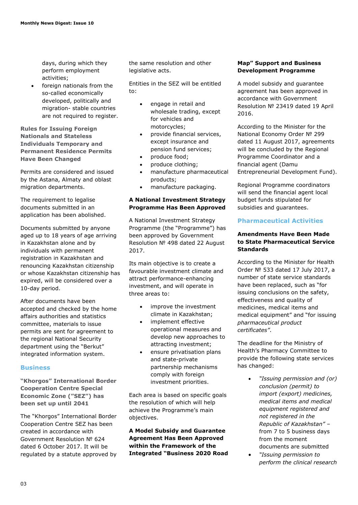days, during which they perform employment activities;

 foreign nationals from the so-called economically developed, politically and migration- stable countries are not required to register.

**Rules for Issuing Foreign Nationals and Stateless Individuals Temporary and Permanent Residence Permits Have Been Changed**

Permits are considered and issued by the Astana, Almaty and oblast migration departments.

The requirement to legalise documents submitted in an application has been abolished.

Documents submitted by anyone aged up to 18 years of age arriving in Kazakhstan alone and by individuals with permanent registration in Kazakhstan and renouncing Kazakhstan citizenship or whose Kazakhstan citizenship has expired, will be considered over a 10-day period.

After documents have been accepted and checked by the home affairs authorities and statistics committee, materials to issue permits are sent for agreement to the regional National Security department using the "Berkut" integrated information system.

## **Business**

**"Khorgos" International Border Cooperation Centre Special Economic Zone ("SEZ") has been set up until 2041**

The "Khorgos" International Border Cooperation Centre SEZ has been created in accordance with Government Resolution № 624 dated 6 October 2017. It will be regulated by a statute approved by the same resolution and other legislative acts.

Entities in the SEZ will be entitled to:

- engage in retail and wholesale trading, except for vehicles and motorcycles;
- provide financial services, except insurance and pension fund services;
- produce food;
- produce clothing;
- manufacture pharmaceutical products;
- manufacture packaging.

## **A National Investment Strategy Programme Has Been Approved**

A National Investment Strategy Programme (the "Programme") has been approved by Government Resolution № 498 dated 22 August 2017.

Its main objective is to create a favourable investment climate and attract performance-enhancing investment, and will operate in three areas to:

- improve the investment climate in Kazakhstan;
- implement effective operational measures and develop new approaches to attracting investment;
- ensure privatisation plans and state-private partnership mechanisms comply with foreign investment priorities.

Each area is based on specific goals the resolution of which will help achieve the Programme's main objectives.

**A Model Subsidy and Guarantee Agreement Has Been Approved within the Framework of the Integrated "Business 2020 Road** 

#### **Map" Support and Business Development Programme**

A model subsidy and guarantee agreement has been approved in accordance with Government Resolution № 23419 dated 19 April 2016.

According to the Minister for the National Economy Order № 299 dated 11 August 2017, agreements will be concluded by the Regional Programme Coordinator and a financial agent (Damu Entrepreneurial Development Fund).

Regional Programme coordinators will send the financial agent local budget funds stipulated for subsidies and guarantees.

## **Pharmaceutical Activities**

## **Amendments Have Been Made to State Pharmaceutical Service Standards**

According to the Minister for Health Order № 533 dated 17 July 2017, a number of state service standards have been replaced, such as "for issuing conclusions on the safety, effectiveness and quality of medicines, medical items and medical equipment" and "for issuing *pharmaceutical product certificates"*.

The deadline for the Ministry of Health's Pharmacy Committee to provide the following state services has changed:

- *"Issuing permission and (or) conclusion (permit) to import (export) medicines, medical items and medical equipment registered and not registered in the Republic of Kazakhstan"* – from 7 to 5 business days from the moment documents are submitted
- *"Issuing permission to perform the clinical research*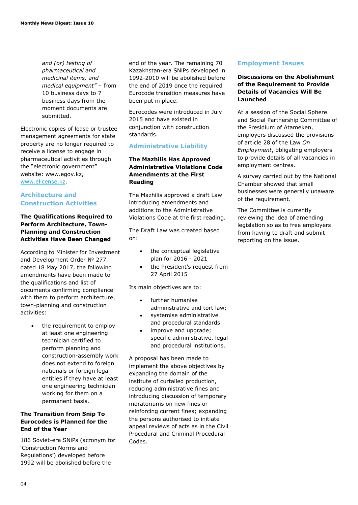*and (or) testing of pharmaceutical and medicinal items, and medical equipment"* – from 10 business days to 7 business days from the moment documents are submitted.

Electronic copies of lease or trustee management agreements for state property are no longer required to receive a license to engage in pharmaceutical activities through the "electronic government" website: www.egov.kz, [www.elicense.kz.](http://www.elicense.kz/)

## **Architecture and Construction Activities**

## **The Qualifications Required to Perform Architecture, Town-Planning and Construction Activities Have Been Changed**

According to Minister for Investment and Development Order № 277 dated 18 May 2017, the following amendments have been made to the qualifications and list of documents confirming compliance with them to perform architecture, town-planning and construction activities:

> the requirement to employ at least one engineering technician certified to perform planning and construction-assembly work does not extend to foreign nationals or foreign legal entities if they have at least one engineering technician working for them on a permanent basis.

## **The Transition from Snip To Eurocodes is Planned for the End of the Year**

186 Soviet-era SNiPs (acronym for 'Construction Norms and Regulations') developed before 1992 will be abolished before the

end of the year. The remaining 70 Kazakhstan-era SNiPs developed in 1992-2010 will be abolished before the end of 2019 once the required Eurocode transition measures have been put in place.

Eurocodes were introduced in July 2015 and have existed in conjunction with construction standards.

## **Administrative Liability**

## **The Mazhilis Has Approved Administrative Violations Code Amendments at the First Reading**

The Mazhilis approved a draft Law introducing amendments and additions to the Administrative Violations Code at the first reading.

The Draft Law was created based on:

- the conceptual legislative plan for 2016 - 2021
- the President's request from 27 April 2015

Its main objectives are to:

- further humanise administrative and tort law;
- systemise administrative and procedural standards
- improve and upgrade; specific administrative, legal and procedural institutions.

A proposal has been made to implement the above objectives by expanding the domain of the institute of curtailed production, reducing administrative fines and introducing discussion of temporary moratoriums on new fines or reinforcing current fines; expanding the persons authorised to initiate appeal reviews of acts as in the Civil Procedural and Criminal Procedural Codes.

## **Employment Issues**

## **Discussions on the Abolishment of the Requirement to Provide Details of Vacancies Will Be Launched**

At a session of the Social Sphere and Social Partnership Committee of the Presidium of Atameken, employers discussed the provisions of article 28 of the Law *On Employment*, obligating employers to provide details of all vacancies in employment centres.

A survey carried out by the National Chamber showed that small businesses were generally unaware of the requirement.

The Committee is currently reviewing the idea of amending legislation so as to free employers from having to draft and submit reporting on the issue.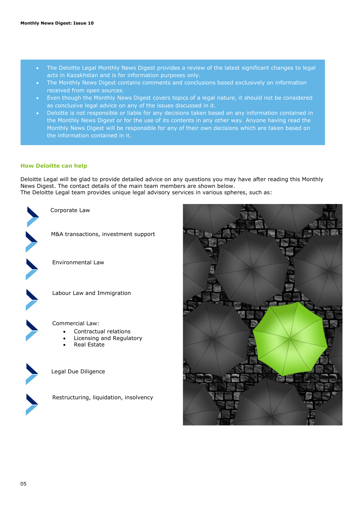- The Deloitte Legal Monthly News Digest provides a review of the latest significant changes to legal acts in Kazakhstan and is for information purposes only.
- The Monthly News Digest contains comments and conclusions based exclusively on information received from open sources.
- Even though the Monthly News Digest covers topics of a legal nature, it should not be considered as conclusive legal advice on any of the issues discussed in it.
- Deloitte is not responsible or liable for any decisions taken based on any information contained in the Monthly News Digest or for the use of its contents in any other way. Anyone having read the Monthly News Digest will be responsible for any of their own decisions which are taken based on the information contained in it.

#### **How Deloitte can help**

Deloitte Legal will be glad to provide detailed advice on any questions you may have after reading this Monthly News Digest. The contact details of the main team members are shown below. The Deloitte Legal team provides unique legal advisory services in various spheres, such as:



Corporate Law



M&A transactions, investment support



Environmental Law



Labour Law and Immigration



Commercial Law:

- Contractual relations
- Licensing and Regulatory
- Real Estate



Legal Due Diligence



Restructuring, liquidation, insolvency